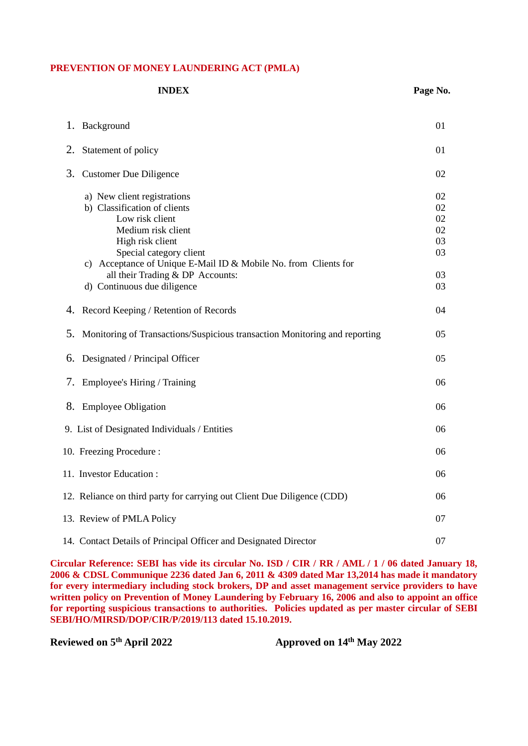#### **PREVENTION OF MONEY LAUNDERING ACT (PMLA)**

| <b>INDEX</b>                                                                                                                                                                                                                                                                              | Page No.                                     |
|-------------------------------------------------------------------------------------------------------------------------------------------------------------------------------------------------------------------------------------------------------------------------------------------|----------------------------------------------|
| Background<br>1.                                                                                                                                                                                                                                                                          | 01                                           |
| 2.<br>Statement of policy                                                                                                                                                                                                                                                                 | 01                                           |
| З.<br><b>Customer Due Diligence</b>                                                                                                                                                                                                                                                       | 02                                           |
| a) New client registrations<br>b) Classification of clients<br>Low risk client<br>Medium risk client<br>High risk client<br>Special category client<br>c) Acceptance of Unique E-Mail ID & Mobile No. from Clients for<br>all their Trading & DP Accounts:<br>d) Continuous due diligence | 02<br>02<br>02<br>02<br>03<br>03<br>03<br>03 |
| Record Keeping / Retention of Records<br>4.                                                                                                                                                                                                                                               | 04                                           |
| 5.<br>Monitoring of Transactions/Suspicious transaction Monitoring and reporting                                                                                                                                                                                                          | 05                                           |
| Designated / Principal Officer<br>6.                                                                                                                                                                                                                                                      | 05                                           |
| 7.<br>Employee's Hiring / Training                                                                                                                                                                                                                                                        | 06                                           |
| <b>Employee Obligation</b><br>8.                                                                                                                                                                                                                                                          | 06                                           |
| 9. List of Designated Individuals / Entities                                                                                                                                                                                                                                              | 06                                           |
| 10. Freezing Procedure:                                                                                                                                                                                                                                                                   | 06                                           |
| 11. Investor Education:                                                                                                                                                                                                                                                                   | 06                                           |
| 12. Reliance on third party for carrying out Client Due Diligence (CDD)                                                                                                                                                                                                                   | 06                                           |
| 13. Review of PMLA Policy                                                                                                                                                                                                                                                                 | 07                                           |
| 14. Contact Details of Principal Officer and Designated Director                                                                                                                                                                                                                          | 07                                           |

**Circular Reference: SEBI has vide its circular No. ISD / CIR / RR / AML / 1 / 06 dated January 18, 2006 & CDSL Communique 2236 dated Jan 6, 2011 & 4309 dated Mar 13,2014 has made it mandatory for every intermediary including stock brokers, DP and asset management service providers to have written policy on Prevention of Money Laundering by February 16, 2006 and also to appoint an office for reporting suspicious transactions to authorities. Policies updated as per master circular of SEBI SEBI/HO/MIRSD/DOP/CIR/P/2019/113 dated 15.10.2019.**

**Reviewed on 5**

**th April 2022 Approved on 14 th May 2022**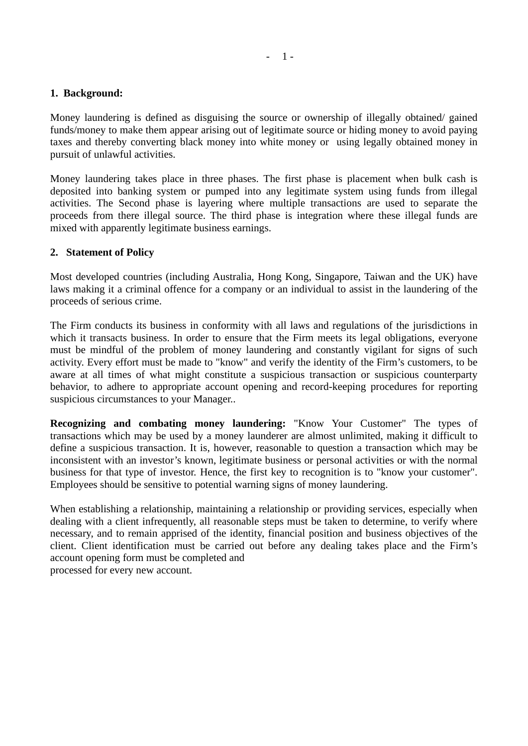#### **1. Background:**

Money laundering is defined as disguising the source or ownership of illegally obtained/ gained funds/money to make them appear arising out of legitimate source or hiding money to avoid paying taxes and thereby converting black money into white money or using legally obtained money in pursuit of unlawful activities.

Money laundering takes place in three phases. The first phase is placement when bulk cash is deposited into banking system or pumped into any legitimate system using funds from illegal activities. The Second phase is layering where multiple transactions are used to separate the proceeds from there illegal source. The third phase is integration where these illegal funds are mixed with apparently legitimate business earnings.

#### **2. Statement of Policy**

Most developed countries (including Australia, Hong Kong, Singapore, Taiwan and the UK) have laws making it a criminal offence for a company or an individual to assist in the laundering of the proceeds of serious crime.

The Firm conducts its business in conformity with all laws and regulations of the jurisdictions in which it transacts business. In order to ensure that the Firm meets its legal obligations, everyone must be mindful of the problem of money laundering and constantly vigilant for signs of such activity. Every effort must be made to "know" and verify the identity of the Firm's customers, to be aware at all times of what might constitute a suspicious transaction or suspicious counterparty behavior, to adhere to appropriate account opening and record-keeping procedures for reporting suspicious circumstances to your Manager..

**Recognizing and combating money laundering:** "Know Your Customer" The types of transactions which may be used by a money launderer are almost unlimited, making it difficult to define a suspicious transaction. It is, however, reasonable to question a transaction which may be inconsistent with an investor's known, legitimate business or personal activities or with the normal business for that type of investor. Hence, the first key to recognition is to "know your customer". Employees should be sensitive to potential warning signs of money laundering.

When establishing a relationship, maintaining a relationship or providing services, especially when dealing with a client infrequently, all reasonable steps must be taken to determine, to verify where necessary, and to remain apprised of the identity, financial position and business objectives of the client. Client identification must be carried out before any dealing takes place and the Firm's account opening form must be completed and processed for every new account.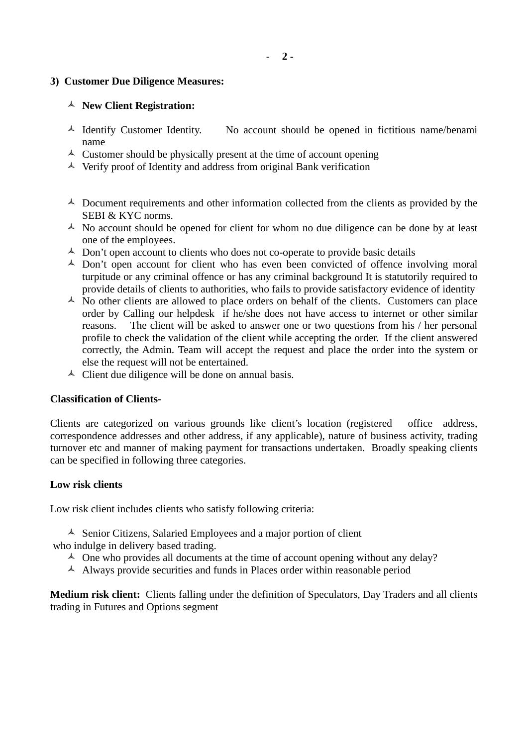#### **3) Customer Due Diligence Measures:**

#### **New Client Registration:**

- $\triangle$  Identify Customer Identity. No account should be opened in fictitious name/benami name
- $\triangle$  Customer should be physically present at the time of account opening
- $\triangle$  Verify proof of Identity and address from original Bank verification
- $\triangle$  Document requirements and other information collected from the clients as provided by the SEBI & KYC norms.
- $\triangle$  No account should be opened for client for whom no due diligence can be done by at least one of the employees.
- $\triangle$  Don't open account to clients who does not co-operate to provide basic details
- $\triangle$  Don't open account for client who has even been convicted of offence involving moral turpitude or any criminal offence or has any criminal background It is statutorily required to provide details of clients to authorities, who fails to provide satisfactory evidence of identity
- No other clients are allowed to place orders on behalf of the clients.Customers can place order by Calling our helpdesk if he/she does not have access to internet or other similar reasons. The client will be asked to answer one or two questions from his / her personal profile to check the validation of the client while accepting the order. If the client answered correctly, the Admin. Team will accept the request and place the order into the system or else the request will not be entertained.
- $\triangle$  Client due diligence will be done on annual basis.

## **Classification of Clients-**

Clients are categorized on various grounds like client's location (registered office address, correspondence addresses and other address, if any applicable), nature of business activity, trading turnover etc and manner of making payment for transactions undertaken. Broadly speaking clients can be specified in following three categories.

## **Low risk clients**

Low risk client includes clients who satisfy following criteria:

 $\triangle$  Senior Citizens, Salaried Employees and a major portion of client who indulge in delivery based trading.

- $\triangle$  One who provides all documents at the time of account opening without any delay?
- $\triangle$  Always provide securities and funds in Places order within reasonable period

**Medium risk client:** Clients falling under the definition of Speculators, Day Traders and all clients trading in Futures and Options segment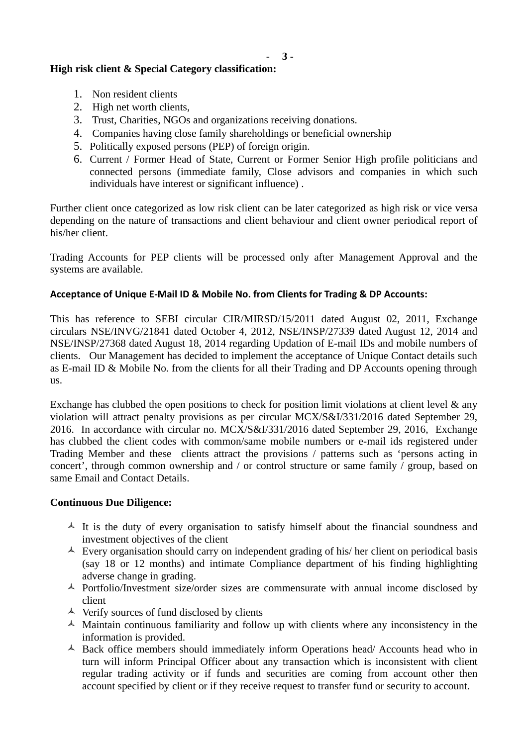- **3 -**

# **High risk client & Special Category classification:**

- 1. Non resident clients
- 2. High net worth clients,
- 3. Trust, Charities, NGOs and organizations receiving donations.
- 4. Companies having close family shareholdings or beneficial ownership
- 5. Politically exposed persons (PEP) of foreign origin.
- 6. Current / Former Head of State, Current or Former Senior High profile politicians and connected persons (immediate family, Close advisors and companies in which such individuals have interest or significant influence) .

Further client once categorized as low risk client can be later categorized as high risk or vice versa depending on the nature of transactions and client behaviour and client owner periodical report of his/her client.

Trading Accounts for PEP clients will be processed only after Management Approval and the systems are available.

## **Acceptance of Unique E-Mail ID & Mobile No. from Clients for Trading & DP Accounts:**

This has reference to SEBI circular CIR/MIRSD/15/2011 dated August 02, 2011, Exchange circulars NSE/INVG/21841 dated October 4, 2012, NSE/INSP/27339 dated August 12, 2014 and NSE/INSP/27368 dated August 18, 2014 regarding Updation of E-mail IDs and mobile numbers of clients. Our Management has decided to implement the acceptance of Unique Contact details such as E-mail ID & Mobile No. from the clients for all their Trading and DP Accounts opening through us.

Exchange has clubbed the open positions to check for position limit violations at client level & any violation will attract penalty provisions as per circular MCX/S&I/331/2016 dated September 29, 2016. In accordance with circular no. MCX/S&I/331/2016 dated September 29, 2016, Exchange has clubbed the client codes with common/same mobile numbers or e-mail ids registered under Trading Member and these clients attract the provisions / patterns such as 'persons acting in concert', through common ownership and / or control structure or same family / group, based on same Email and Contact Details.

## **Continuous Due Diligence:**

- $\uparrow$  It is the duty of every organisation to satisfy himself about the financial soundness and investment objectives of the client
- $\triangle$  Every organisation should carry on independent grading of his/ her client on periodical basis (say 18 or 12 months) and intimate Compliance department of his finding highlighting adverse change in grading.
- $\triangle$  Portfolio/Investment size/order sizes are commensurate with annual income disclosed by client
- $\triangle$  Verify sources of fund disclosed by clients
- $\triangle$  Maintain continuous familiarity and follow up with clients where any inconsistency in the information is provided.
- $\triangle$  Back office members should immediately inform Operations head/ Accounts head who in turn will inform Principal Officer about any transaction which is inconsistent with client regular trading activity or if funds and securities are coming from account other then account specified by client or if they receive request to transfer fund or security to account.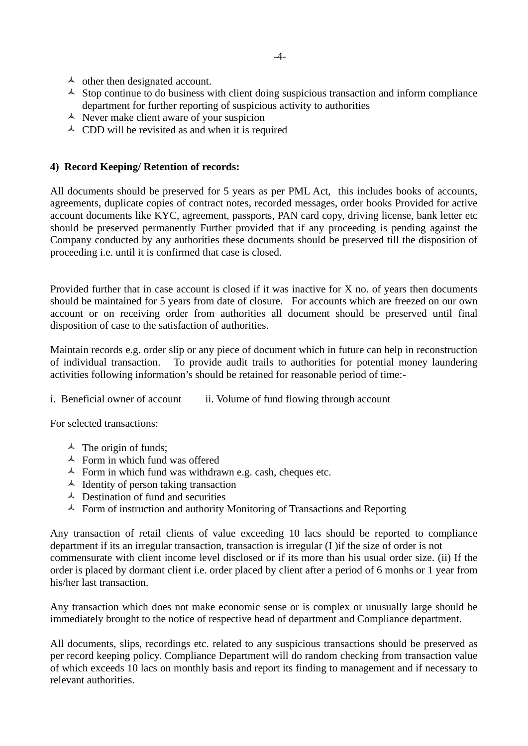- $\triangle$  other then designated account.
- $\triangle$  Stop continue to do business with client doing suspicious transaction and inform compliance department for further reporting of suspicious activity to authorities
- $\triangle$  Never make client aware of your suspicion
- $\triangle$  CDD will be revisited as and when it is required

### **4) Record Keeping/ Retention of records:**

All documents should be preserved for 5 years as per PML Act, this includes books of accounts, agreements, duplicate copies of contract notes, recorded messages, order books Provided for active account documents like KYC, agreement, passports, PAN card copy, driving license, bank letter etc should be preserved permanently Further provided that if any proceeding is pending against the Company conducted by any authorities these documents should be preserved till the disposition of proceeding i.e. until it is confirmed that case is closed.

Provided further that in case account is closed if it was inactive for X no. of years then documents should be maintained for 5 years from date of closure. For accounts which are freezed on our own account or on receiving order from authorities all document should be preserved until final disposition of case to the satisfaction of authorities.

Maintain records e.g. order slip or any piece of document which in future can help in reconstruction of individual transaction. To provide audit trails to authorities for potential money laundering activities following information's should be retained for reasonable period of time:-

i. Beneficial owner of account ii. Volume of fund flowing through account

For selected transactions:

- $\triangle$  The origin of funds;
- $\triangle$  Form in which fund was offered
- $\triangle$  Form in which fund was withdrawn e.g. cash, cheques etc.
- $\triangle$  Identity of person taking transaction
- $\triangle$  Destination of fund and securities
- $\triangle$  Form of instruction and authority Monitoring of Transactions and Reporting

Any transaction of retail clients of value exceeding 10 lacs should be reported to compliance department if its an irregular transaction, transaction is irregular (I )if the size of order is not commensurate with client income level disclosed or if its more than his usual order size. (ii) If the order is placed by dormant client i.e. order placed by client after a period of 6 monhs or 1 year from his/her last transaction.

Any transaction which does not make economic sense or is complex or unusually large should be immediately brought to the notice of respective head of department and Compliance department.

All documents, slips, recordings etc. related to any suspicious transactions should be preserved as per record keeping policy. Compliance Department will do random checking from transaction value of which exceeds 10 lacs on monthly basis and report its finding to management and if necessary to relevant authorities.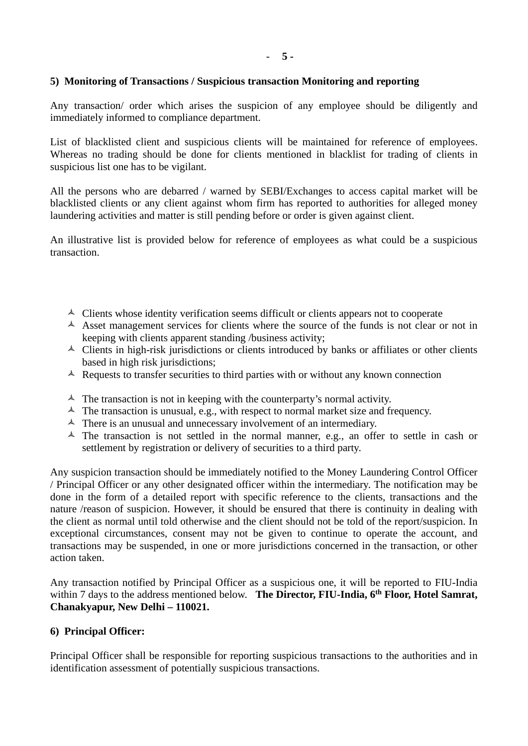## **5) Monitoring of Transactions / Suspicious transaction Monitoring and reporting**

Any transaction/ order which arises the suspicion of any employee should be diligently and immediately informed to compliance department.

List of blacklisted client and suspicious clients will be maintained for reference of employees. Whereas no trading should be done for clients mentioned in blacklist for trading of clients in suspicious list one has to be vigilant.

All the persons who are debarred / warned by SEBI/Exchanges to access capital market will be blacklisted clients or any client against whom firm has reported to authorities for alleged money laundering activities and matter is still pending before or order is given against client.

An illustrative list is provided below for reference of employees as what could be a suspicious transaction.

- $\triangle$  Clients whose identity verification seems difficult or clients appears not to cooperate
- $\triangle$  Asset management services for clients where the source of the funds is not clear or not in keeping with clients apparent standing /business activity;
- $\triangle$  Clients in high-risk jurisdictions or clients introduced by banks or affiliates or other clients based in high risk jurisdictions;
- $\triangle$  Requests to transfer securities to third parties with or without any known connection
- $\uparrow$  The transaction is not in keeping with the counterparty's normal activity.
- $\blacktriangle$  The transaction is unusual, e.g., with respect to normal market size and frequency.
- $\triangle$  There is an unusual and unnecessary involvement of an intermediary.
- $\uparrow$  The transaction is not settled in the normal manner, e.g., an offer to settle in cash or settlement by registration or delivery of securities to a third party.

Any suspicion transaction should be immediately notified to the Money Laundering Control Officer / Principal Officer or any other designated officer within the intermediary. The notification may be done in the form of a detailed report with specific reference to the clients, transactions and the nature /reason of suspicion. However, it should be ensured that there is continuity in dealing with the client as normal until told otherwise and the client should not be told of the report/suspicion. In exceptional circumstances, consent may not be given to continue to operate the account, and transactions may be suspended, in one or more jurisdictions concerned in the transaction, or other action taken.

Any transaction notified by Principal Officer as a suspicious one, it will be reported to FIU-India within 7 days to the address mentioned below. **The Director, FIU-India, 6th Floor, Hotel Samrat, Chanakyapur, New Delhi – 110021.** 

## **6) Principal Officer:**

Principal Officer shall be responsible for reporting suspicious transactions to the authorities and in identification assessment of potentially suspicious transactions.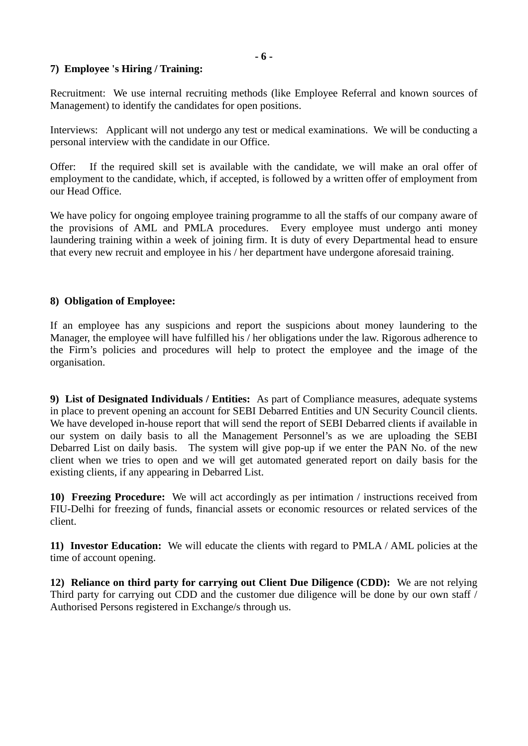### **7) Employee 's Hiring / Training:**

Recruitment: We use internal recruiting methods (like Employee Referral and known sources of Management) to identify the candidates for open positions.

Interviews: Applicant will not undergo any test or medical examinations. We will be conducting a personal interview with the candidate in our Office.

Offer: If the required skill set is available with the candidate, we will make an oral offer of employment to the candidate, which, if accepted, is followed by a written offer of employment from our Head Office.

We have policy for ongoing employee training programme to all the staffs of our company aware of the provisions of AML and PMLA procedures. Every employee must undergo anti money laundering training within a week of joining firm. It is duty of every Departmental head to ensure that every new recruit and employee in his / her department have undergone aforesaid training.

#### **8) Obligation of Employee:**

If an employee has any suspicions and report the suspicions about money laundering to the Manager, the employee will have fulfilled his / her obligations under the law. Rigorous adherence to the Firm's policies and procedures will help to protect the employee and the image of the organisation.

**9) List of Designated Individuals / Entities:** As part of Compliance measures, adequate systems in place to prevent opening an account for SEBI Debarred Entities and UN Security Council clients. We have developed in-house report that will send the report of SEBI Debarred clients if available in our system on daily basis to all the Management Personnel's as we are uploading the SEBI Debarred List on daily basis. The system will give pop-up if we enter the PAN No. of the new client when we tries to open and we will get automated generated report on daily basis for the existing clients, if any appearing in Debarred List.

**10) Freezing Procedure:** We will act accordingly as per intimation / instructions received from FIU-Delhi for freezing of funds, financial assets or economic resources or related services of the client.

**11) Investor Education:** We will educate the clients with regard to PMLA / AML policies at the time of account opening.

**12) Reliance on third party for carrying out Client Due Diligence (CDD):** We are not relying Third party for carrying out CDD and the customer due diligence will be done by our own staff / Authorised Persons registered in Exchange/s through us.